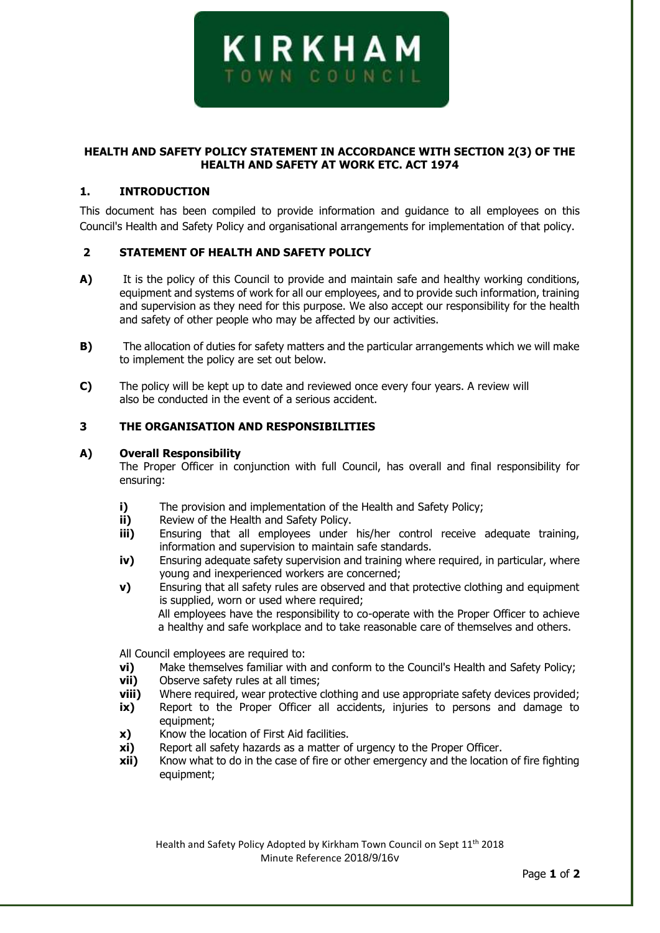

# **HEALTH AND SAFETY POLICY STATEMENT IN ACCORDANCE WITH SECTION 2(3) OF THE HEALTH AND SAFETY AT WORK ETC. ACT 1974**

## **1. INTRODUCTION**

This document has been compiled to provide information and guidance to all employees on this Council's Health and Safety Policy and organisational arrangements for implementation of that policy.

## **2 STATEMENT OF HEALTH AND SAFETY POLICY**

- **A)** It is the policy of this Council to provide and maintain safe and healthy working conditions, equipment and systems of work for all our employees, and to provide such information, training and supervision as they need for this purpose. We also accept our responsibility for the health and safety of other people who may be affected by our activities.
- **B)** The allocation of duties for safety matters and the particular arrangements which we will make to implement the policy are set out below.
- **C)** The policy will be kept up to date and reviewed once every four years. A review will also be conducted in the event of a serious accident.

# **3 THE ORGANISATION AND RESPONSIBILITIES**

#### **A) Overall Responsibility**

The Proper Officer in conjunction with full Council, has overall and final responsibility for ensuring:

- **i)** The provision and implementation of the Health and Safety Policy;
- **ii)** Review of the Health and Safety Policy.
- **iii)** Ensuring that all employees under his/her control receive adequate training, information and supervision to maintain safe standards.
- **iv)** Ensuring adequate safety supervision and training where required, in particular, where young and inexperienced workers are concerned;
- **v)** Ensuring that all safety rules are observed and that protective clothing and equipment is supplied, worn or used where required; All employees have the responsibility to co-operate with the Proper Officer to achieve a healthy and safe workplace and to take reasonable care of themselves and others.

All Council employees are required to:

- **vi)** Make themselves familiar with and conform to the Council's Health and Safety Policy;
- **vii)** Observe safety rules at all times;
- **viii)** Where required, wear protective clothing and use appropriate safety devices provided;
- **ix)** Report to the Proper Officer all accidents, injuries to persons and damage to equipment;
- **x)** Know the location of First Aid facilities.
- **xi)** Report all safety hazards as a matter of urgency to the Proper Officer.
- **xii)** Know what to do in the case of fire or other emergency and the location of fire fighting equipment;

Health and Safety Policy Adopted by Kirkham Town Council on Sept 11<sup>th</sup> 2018 Minute Reference 2018/9/16v